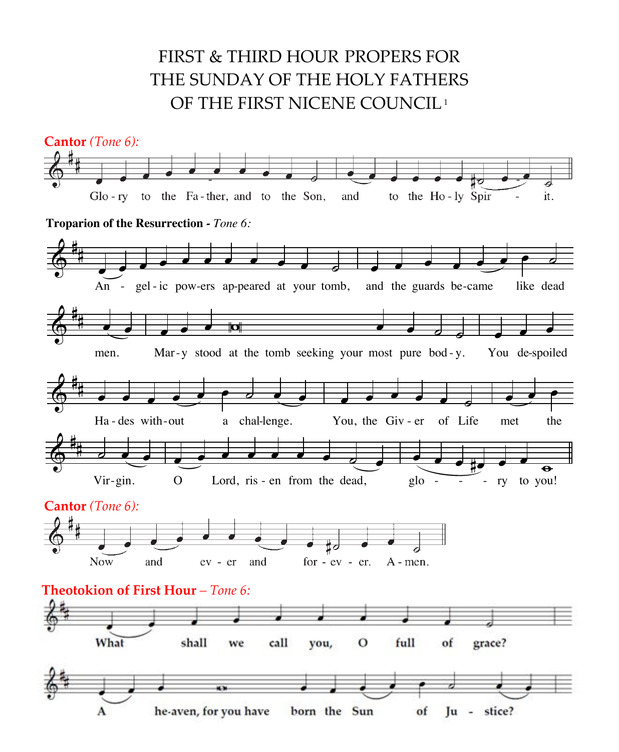## FIRST & THIRD HOUR PROPERS FOR THE SUNDAY OF THE HOLY FATHERS OF THE FIRST NICENE COUNCIL<sup>1</sup>

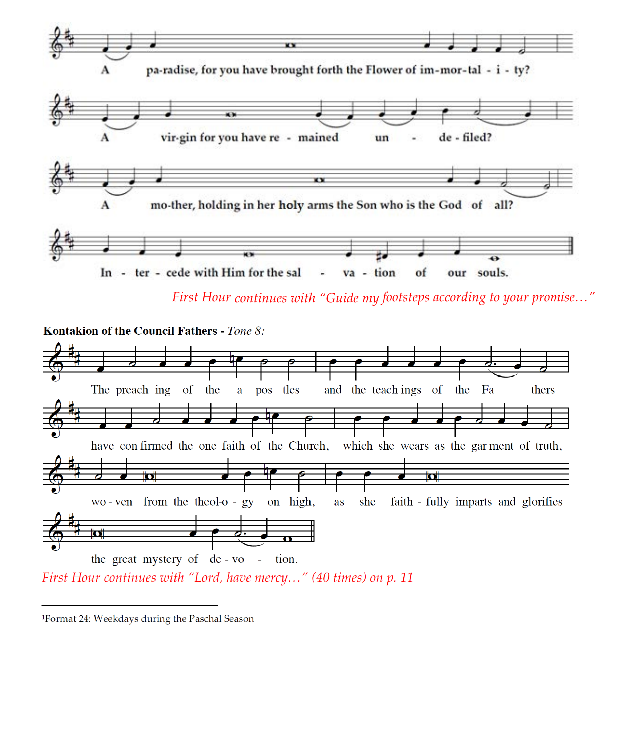

First Hour continues with "Guide my footsteps according to your promise..."



First Hour continues with "Lord, have mercy..." (40 times) on p. 11

<sup>&</sup>lt;sup>1</sup>Format 24: Weekdays during the Paschal Season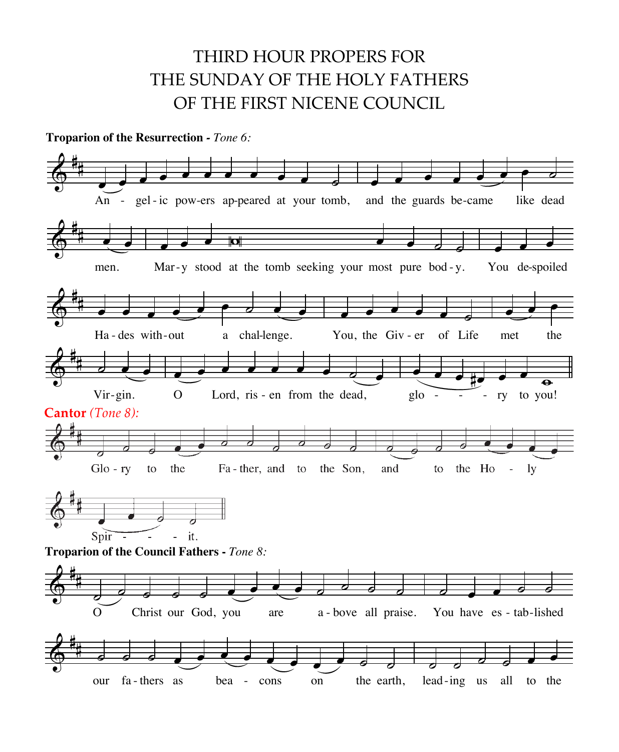## THIRD HOUR PROPERS FOR THIND TIOON I NOT ENS FON<br>THE SUNDAY OF THE HOLY FATHERS OF THE FIRST NICENE COUNCIL